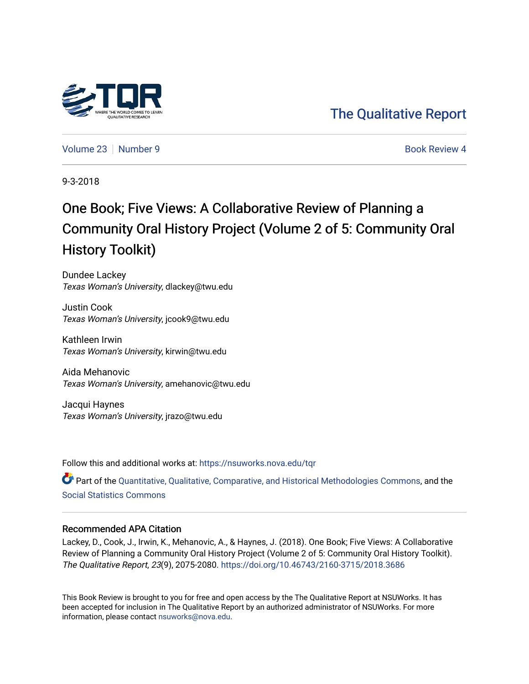

[The Qualitative Report](https://nsuworks.nova.edu/tqr) 

[Volume 23](https://nsuworks.nova.edu/tqr/vol23) [Number 9](https://nsuworks.nova.edu/tqr/vol23/iss9) **Book Review 4** Book Review 4

9-3-2018

## One Book; Five Views: A Collaborative Review of Planning a Community Oral History Project (Volume 2 of 5: Community Oral History Toolkit)

Dundee Lackey Texas Woman's University, dlackey@twu.edu

Justin Cook Texas Woman's University, jcook9@twu.edu

Kathleen Irwin Texas Woman's University, kirwin@twu.edu

Aida Mehanovic Texas Woman's University, amehanovic@twu.edu

Jacqui Haynes Texas Woman's University, jrazo@twu.edu

Follow this and additional works at: [https://nsuworks.nova.edu/tqr](https://nsuworks.nova.edu/tqr?utm_source=nsuworks.nova.edu%2Ftqr%2Fvol23%2Fiss9%2F4&utm_medium=PDF&utm_campaign=PDFCoverPages) 

Part of the [Quantitative, Qualitative, Comparative, and Historical Methodologies Commons,](http://network.bepress.com/hgg/discipline/423?utm_source=nsuworks.nova.edu%2Ftqr%2Fvol23%2Fiss9%2F4&utm_medium=PDF&utm_campaign=PDFCoverPages) and the [Social Statistics Commons](http://network.bepress.com/hgg/discipline/1275?utm_source=nsuworks.nova.edu%2Ftqr%2Fvol23%2Fiss9%2F4&utm_medium=PDF&utm_campaign=PDFCoverPages) 

#### Recommended APA Citation

Lackey, D., Cook, J., Irwin, K., Mehanovic, A., & Haynes, J. (2018). One Book; Five Views: A Collaborative Review of Planning a Community Oral History Project (Volume 2 of 5: Community Oral History Toolkit). The Qualitative Report, 23(9), 2075-2080. <https://doi.org/10.46743/2160-3715/2018.3686>

This Book Review is brought to you for free and open access by the The Qualitative Report at NSUWorks. It has been accepted for inclusion in The Qualitative Report by an authorized administrator of NSUWorks. For more information, please contact [nsuworks@nova.edu.](mailto:nsuworks@nova.edu)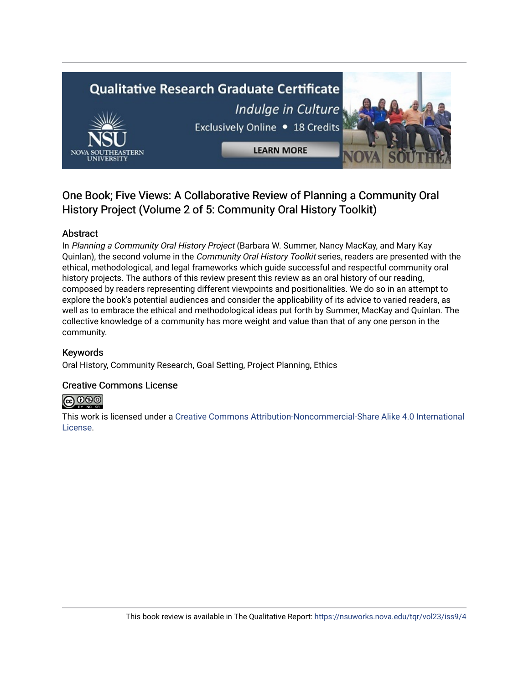# **Qualitative Research Graduate Certificate** Indulge in Culture Exclusively Online . 18 Credits **LEARN MORE**

### One Book; Five Views: A Collaborative Review of Planning a Community Oral History Project (Volume 2 of 5: Community Oral History Toolkit)

#### Abstract

In Planning a Community Oral History Project (Barbara W. Summer, Nancy MacKay, and Mary Kay Quinlan), the second volume in the Community Oral History Toolkit series, readers are presented with the ethical, methodological, and legal frameworks which guide successful and respectful community oral history projects. The authors of this review present this review as an oral history of our reading, composed by readers representing different viewpoints and positionalities. We do so in an attempt to explore the book's potential audiences and consider the applicability of its advice to varied readers, as well as to embrace the ethical and methodological ideas put forth by Summer, MacKay and Quinlan. The collective knowledge of a community has more weight and value than that of any one person in the community.

#### Keywords

Oral History, Community Research, Goal Setting, Project Planning, Ethics

#### Creative Commons License



This work is licensed under a [Creative Commons Attribution-Noncommercial-Share Alike 4.0 International](https://creativecommons.org/licenses/by-nc-sa/4.0/)  [License](https://creativecommons.org/licenses/by-nc-sa/4.0/).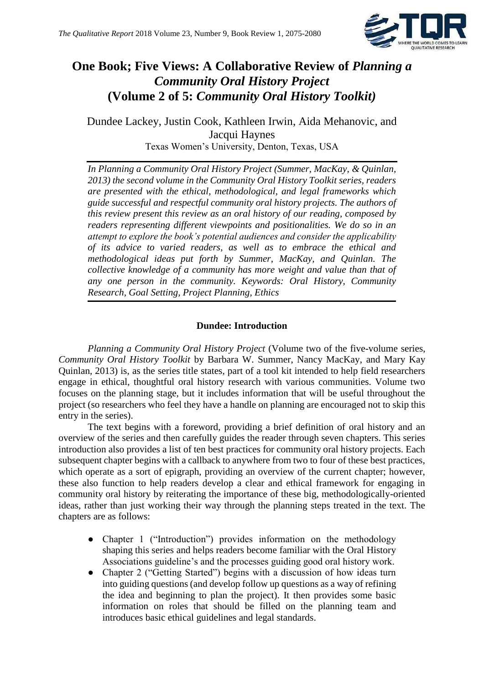

## **One Book; Five Views: A Collaborative Review of** *Planning a Community Oral History Project* **(Volume 2 of 5:** *Community Oral History Toolkit)*

Dundee Lackey, Justin Cook, Kathleen Irwin, Aida Mehanovic, and Jacqui Haynes Texas Women's University, Denton, Texas, USA

*In Planning a Community Oral History Project (Summer, MacKay, & Quinlan, 2013) the second volume in the Community Oral History Toolkit series, readers are presented with the ethical, methodological, and legal frameworks which guide successful and respectful community oral history projects. The authors of this review present this review as an oral history of our reading, composed by readers representing different viewpoints and positionalities. We do so in an attempt to explore the book's potential audiences and consider the applicability of its advice to varied readers, as well as to embrace the ethical and methodological ideas put forth by Summer, MacKay, and Quinlan. The collective knowledge of a community has more weight and value than that of any one person in the community. Keywords: Oral History, Community Research, Goal Setting, Project Planning, Ethics* 

#### **Dundee: Introduction**

*Planning a Community Oral History Project* (Volume two of the five-volume series, *Community Oral History Toolkit* by Barbara W. Summer, Nancy MacKay, and Mary Kay Quinlan, 2013) is, as the series title states, part of a tool kit intended to help field researchers engage in ethical, thoughtful oral history research with various communities. Volume two focuses on the planning stage, but it includes information that will be useful throughout the project (so researchers who feel they have a handle on planning are encouraged not to skip this entry in the series).

The text begins with a foreword, providing a brief definition of oral history and an overview of the series and then carefully guides the reader through seven chapters. This series introduction also provides a list of ten best practices for community oral history projects. Each subsequent chapter begins with a callback to anywhere from two to four of these best practices, which operate as a sort of epigraph, providing an overview of the current chapter; however, these also function to help readers develop a clear and ethical framework for engaging in community oral history by reiterating the importance of these big, methodologically-oriented ideas, rather than just working their way through the planning steps treated in the text. The chapters are as follows:

- Chapter 1 ("Introduction") provides information on the methodology shaping this series and helps readers become familiar with the Oral History Associations guideline's and the processes guiding good oral history work.
- Chapter 2 ("Getting Started") begins with a discussion of how ideas turn into guiding questions (and develop follow up questions as a way of refining the idea and beginning to plan the project). It then provides some basic information on roles that should be filled on the planning team and introduces basic ethical guidelines and legal standards.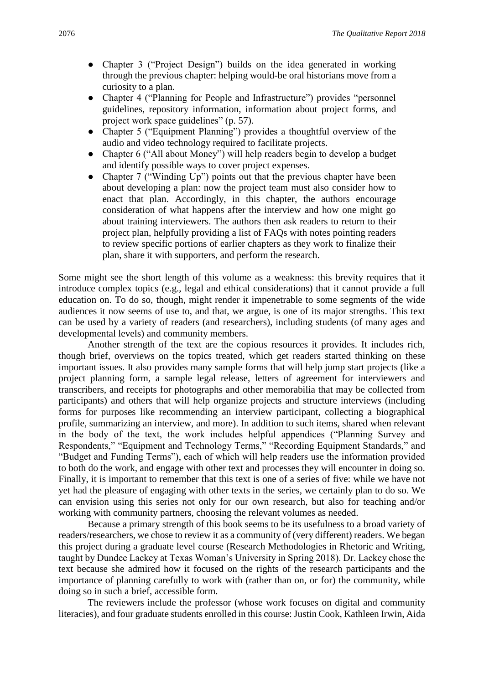- Chapter 3 ("Project Design") builds on the idea generated in working through the previous chapter: helping would-be oral historians move from a curiosity to a plan.
- Chapter 4 ("Planning for People and Infrastructure") provides "personnel guidelines, repository information, information about project forms, and project work space guidelines" (p. 57).
- Chapter 5 ("Equipment Planning") provides a thoughtful overview of the audio and video technology required to facilitate projects.
- Chapter 6 ("All about Money") will help readers begin to develop a budget and identify possible ways to cover project expenses.
- Chapter 7 ("Winding Up") points out that the previous chapter have been about developing a plan: now the project team must also consider how to enact that plan. Accordingly, in this chapter, the authors encourage consideration of what happens after the interview and how one might go about training interviewers. The authors then ask readers to return to their project plan, helpfully providing a list of FAQs with notes pointing readers to review specific portions of earlier chapters as they work to finalize their plan, share it with supporters, and perform the research.

Some might see the short length of this volume as a weakness: this brevity requires that it introduce complex topics (e.g., legal and ethical considerations) that it cannot provide a full education on. To do so, though, might render it impenetrable to some segments of the wide audiences it now seems of use to, and that, we argue, is one of its major strengths. This text can be used by a variety of readers (and researchers), including students (of many ages and developmental levels) and community members.

Another strength of the text are the copious resources it provides. It includes rich, though brief, overviews on the topics treated, which get readers started thinking on these important issues. It also provides many sample forms that will help jump start projects (like a project planning form, a sample legal release, letters of agreement for interviewers and transcribers, and receipts for photographs and other memorabilia that may be collected from participants) and others that will help organize projects and structure interviews (including forms for purposes like recommending an interview participant, collecting a biographical profile, summarizing an interview, and more). In addition to such items, shared when relevant in the body of the text, the work includes helpful appendices ("Planning Survey and Respondents," "Equipment and Technology Terms," "Recording Equipment Standards," and "Budget and Funding Terms"), each of which will help readers use the information provided to both do the work, and engage with other text and processes they will encounter in doing so. Finally, it is important to remember that this text is one of a series of five: while we have not yet had the pleasure of engaging with other texts in the series, we certainly plan to do so. We can envision using this series not only for our own research, but also for teaching and/or working with community partners, choosing the relevant volumes as needed.

Because a primary strength of this book seems to be its usefulness to a broad variety of readers/researchers, we chose to review it as a community of (very different) readers. We began this project during a graduate level course (Research Methodologies in Rhetoric and Writing, taught by Dundee Lackey at Texas Woman's University in Spring 2018). Dr. Lackey chose the text because she admired how it focused on the rights of the research participants and the importance of planning carefully to work with (rather than on, or for) the community, while doing so in such a brief, accessible form.

The reviewers include the professor (whose work focuses on digital and community literacies), and four graduate students enrolled in this course: Justin Cook, Kathleen Irwin, Aida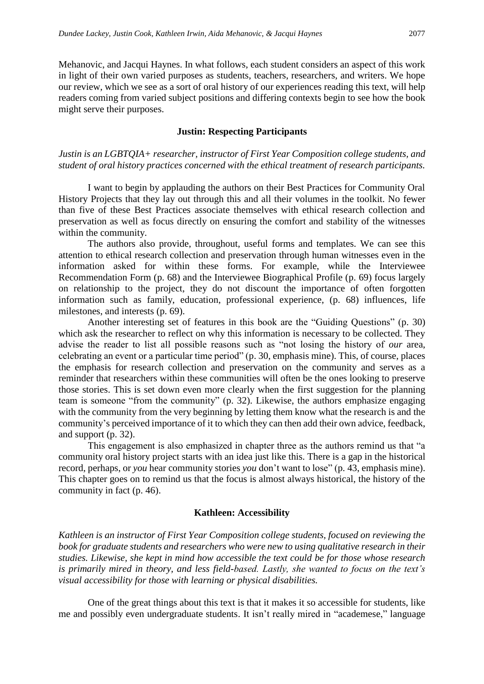Mehanovic, and Jacqui Haynes. In what follows, each student considers an aspect of this work in light of their own varied purposes as students, teachers, researchers, and writers. We hope our review, which we see as a sort of oral history of our experiences reading this text, will help readers coming from varied subject positions and differing contexts begin to see how the book might serve their purposes.

#### **Justin: Respecting Participants**

*Justin is an LGBTQIA+ researcher, instructor of First Year Composition college students, and student of oral history practices concerned with the ethical treatment of research participants.*

I want to begin by applauding the authors on their Best Practices for Community Oral History Projects that they lay out through this and all their volumes in the toolkit. No fewer than five of these Best Practices associate themselves with ethical research collection and preservation as well as focus directly on ensuring the comfort and stability of the witnesses within the community.

The authors also provide, throughout, useful forms and templates. We can see this attention to ethical research collection and preservation through human witnesses even in the information asked for within these forms. For example, while the Interviewee Recommendation Form (p. 68) and the Interviewee Biographical Profile (p. 69) focus largely on relationship to the project, they do not discount the importance of often forgotten information such as family, education, professional experience, (p. 68) influences, life milestones, and interests (p. 69).

Another interesting set of features in this book are the "Guiding Questions" (p. 30) which ask the researcher to reflect on why this information is necessary to be collected. They advise the reader to list all possible reasons such as "not losing the history of *our* area, celebrating an event or a particular time period" (p. 30, emphasis mine). This, of course, places the emphasis for research collection and preservation on the community and serves as a reminder that researchers within these communities will often be the ones looking to preserve those stories. This is set down even more clearly when the first suggestion for the planning team is someone "from the community" (p. 32). Likewise, the authors emphasize engaging with the community from the very beginning by letting them know what the research is and the community's perceived importance of it to which they can then add their own advice, feedback, and support (p. 32).

This engagement is also emphasized in chapter three as the authors remind us that "a community oral history project starts with an idea just like this. There is a gap in the historical record, perhaps, or *you* hear community stories *you* don't want to lose" (p. 43, emphasis mine). This chapter goes on to remind us that the focus is almost always historical, the history of the community in fact (p. 46).

#### **Kathleen: Accessibility**

*Kathleen is an instructor of First Year Composition college students, focused on reviewing the book for graduate students and researchers who were new to using qualitative research in their studies. Likewise, she kept in mind how accessible the text could be for those whose research is primarily mired in theory, and less field-based. Lastly, she wanted to focus on the text's visual accessibility for those with learning or physical disabilities.*

One of the great things about this text is that it makes it so accessible for students, like me and possibly even undergraduate students. It isn't really mired in "academese," language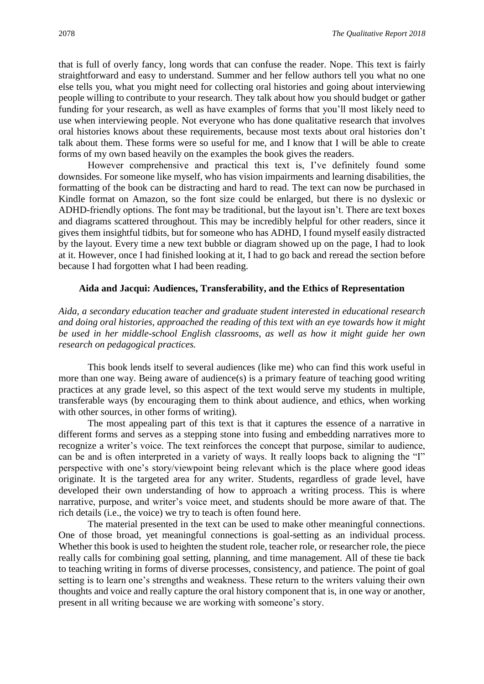that is full of overly fancy, long words that can confuse the reader. Nope. This text is fairly straightforward and easy to understand. Summer and her fellow authors tell you what no one else tells you, what you might need for collecting oral histories and going about interviewing people willing to contribute to your research. They talk about how you should budget or gather funding for your research, as well as have examples of forms that you'll most likely need to use when interviewing people. Not everyone who has done qualitative research that involves oral histories knows about these requirements, because most texts about oral histories don't talk about them. These forms were so useful for me, and I know that I will be able to create forms of my own based heavily on the examples the book gives the readers.

However comprehensive and practical this text is, I've definitely found some downsides. For someone like myself, who has vision impairments and learning disabilities, the formatting of the book can be distracting and hard to read. The text can now be purchased in Kindle format on Amazon, so the font size could be enlarged, but there is no dyslexic or ADHD-friendly options. The font may be traditional, but the layout isn't. There are text boxes and diagrams scattered throughout. This may be incredibly helpful for other readers, since it gives them insightful tidbits, but for someone who has ADHD, I found myself easily distracted by the layout. Every time a new text bubble or diagram showed up on the page, I had to look at it. However, once I had finished looking at it, I had to go back and reread the section before because I had forgotten what I had been reading.

#### **Aida and Jacqui: Audiences, Transferability, and the Ethics of Representation**

*Aida, a secondary education teacher and graduate student interested in educational research and doing oral histories, approached the reading of this text with an eye towards how it might be used in her middle-school English classrooms, as well as how it might guide her own research on pedagogical practices.*

This book lends itself to several audiences (like me) who can find this work useful in more than one way. Being aware of audience(s) is a primary feature of teaching good writing practices at any grade level, so this aspect of the text would serve my students in multiple, transferable ways (by encouraging them to think about audience, and ethics, when working with other sources, in other forms of writing).

The most appealing part of this text is that it captures the essence of a narrative in different forms and serves as a stepping stone into fusing and embedding narratives more to recognize a writer's voice. The text reinforces the concept that purpose, similar to audience, can be and is often interpreted in a variety of ways. It really loops back to aligning the "I" perspective with one's story/viewpoint being relevant which is the place where good ideas originate. It is the targeted area for any writer. Students, regardless of grade level, have developed their own understanding of how to approach a writing process. This is where narrative, purpose, and writer's voice meet, and students should be more aware of that. The rich details (i.e., the voice) we try to teach is often found here.

The material presented in the text can be used to make other meaningful connections. One of those broad, yet meaningful connections is goal-setting as an individual process. Whether this book is used to heighten the student role, teacher role, or researcher role, the piece really calls for combining goal setting, planning, and time management. All of these tie back to teaching writing in forms of diverse processes, consistency, and patience. The point of goal setting is to learn one's strengths and weakness. These return to the writers valuing their own thoughts and voice and really capture the oral history component that is, in one way or another, present in all writing because we are working with someone's story.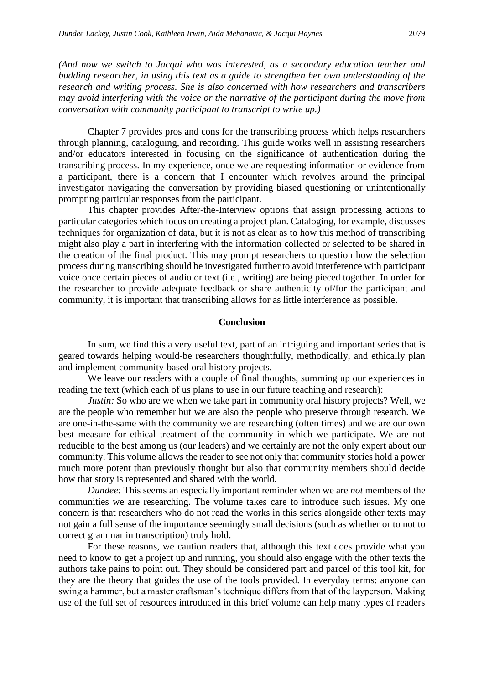*(And now we switch to Jacqui who was interested, as a secondary education teacher and budding researcher, in using this text as a guide to strengthen her own understanding of the research and writing process. She is also concerned with how researchers and transcribers may avoid interfering with the voice or the narrative of the participant during the move from conversation with community participant to transcript to write up.)*

Chapter 7 provides pros and cons for the transcribing process which helps researchers through planning, cataloguing, and recording. This guide works well in assisting researchers and/or educators interested in focusing on the significance of authentication during the transcribing process. In my experience, once we are requesting information or evidence from a participant, there is a concern that I encounter which revolves around the principal investigator navigating the conversation by providing biased questioning or unintentionally prompting particular responses from the participant.

This chapter provides After-the-Interview options that assign processing actions to particular categories which focus on creating a project plan. Cataloging, for example, discusses techniques for organization of data, but it is not as clear as to how this method of transcribing might also play a part in interfering with the information collected or selected to be shared in the creation of the final product. This may prompt researchers to question how the selection process during transcribing should be investigated further to avoid interference with participant voice once certain pieces of audio or text (i.e., writing) are being pieced together. In order for the researcher to provide adequate feedback or share authenticity of/for the participant and community, it is important that transcribing allows for as little interference as possible.

#### **Conclusion**

In sum, we find this a very useful text, part of an intriguing and important series that is geared towards helping would-be researchers thoughtfully, methodically, and ethically plan and implement community-based oral history projects.

We leave our readers with a couple of final thoughts, summing up our experiences in reading the text (which each of us plans to use in our future teaching and research):

*Justin:* So who are we when we take part in community oral history projects? Well, we are the people who remember but we are also the people who preserve through research. We are one-in-the-same with the community we are researching (often times) and we are our own best measure for ethical treatment of the community in which we participate. We are not reducible to the best among us (our leaders) and we certainly are not the only expert about our community. This volume allows the reader to see not only that community stories hold a power much more potent than previously thought but also that community members should decide how that story is represented and shared with the world.

*Dundee:* This seems an especially important reminder when we are *not* members of the communities we are researching. The volume takes care to introduce such issues. My one concern is that researchers who do not read the works in this series alongside other texts may not gain a full sense of the importance seemingly small decisions (such as whether or to not to correct grammar in transcription) truly hold.

For these reasons, we caution readers that, although this text does provide what you need to know to get a project up and running, you should also engage with the other texts the authors take pains to point out. They should be considered part and parcel of this tool kit, for they are the theory that guides the use of the tools provided. In everyday terms: anyone can swing a hammer, but a master craftsman's technique differs from that of the layperson. Making use of the full set of resources introduced in this brief volume can help many types of readers